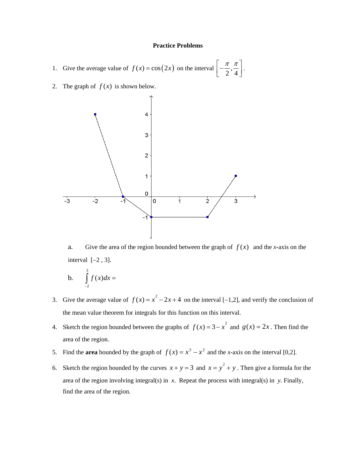## **Practice Problems**

1. Give the average value of 
$$
f(x) = \cos(2x)
$$
 on the interval  $\left[-\frac{\pi}{2}, \frac{\pi}{4}\right]$ .

2. The graph of  $f(x)$  is shown below.



a. Give the area of the region bounded between the graph of  $f(x)$  and the *x*-axis on the interval  $[-2, 3]$ .

$$
b. \qquad \int_{-2}^{3} f(x) dx =
$$

- 3. Give the average value of  $f(x) = x^2 2x + 4$  on the interval [-1,2], and verify the conclusion of the mean value theorem for integrals for this function on this interval.
- 4. Sketch the region bounded between the graphs of  $f(x) = 3 x^2$  and  $g(x) = 2x$ . Then find the area of the region.
- 5. Find the **area** bounded by the graph of  $f(x) = x^3 x^2$  and the *x*-axis on the interval [0,2].
- 6. Sketch the region bounded by the curves  $x + y = 3$  and  $x = y^2 + y$ . Then give a formula for the area of the region involving integral(s) in *x*. Repeat the process with integral(s) in *y*. Finally, find the area of the region.